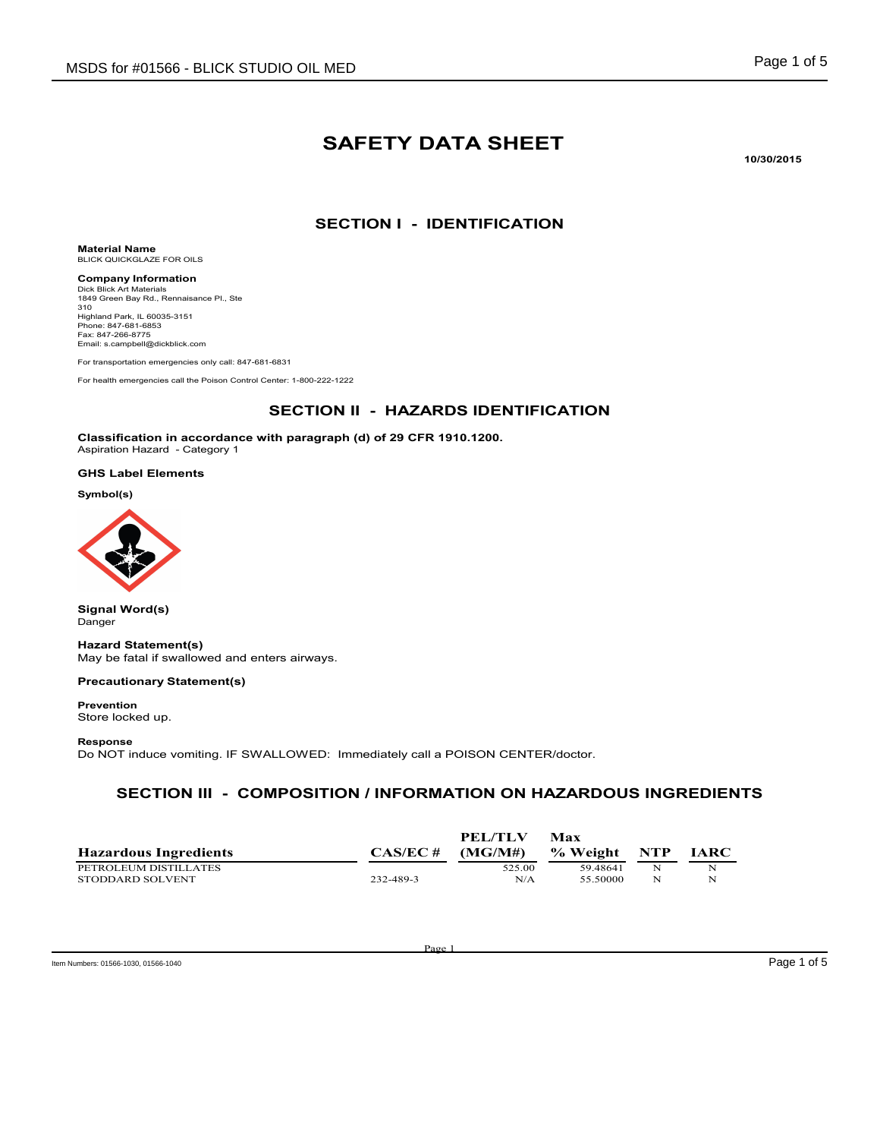# SAFETY DATA SHEET

10/30/2015

## SECTION I - IDENTIFICATION

Material Name BLICK QUICKGLAZE FOR OILS

Email: s.campbell@dickblick.com

Company Information Dick Blick Art Materials 1849 Green Bay Rd., Rennaisance Pl., Ste 310 Highland Park, IL 60035-3151 Phone: 847-681-6853 Fax: 847-266-8775

For transportation emergencies only call: 847-681-6831

For health emergencies call the Poison Control Center: 1-800-222-1222

### SECTION II - HAZARDS IDENTIFICATION

Classification in accordance with paragraph (d) of 29 CFR 1910.1200. Aspiration Hazard - Category 1

#### GHS Label Elements

Symbol(s)



Signal Word(s) Danger

#### Hazard Statement(s)

May be fatal if swallowed and enters airways.

#### Precautionary Statement(s)

Prevention Store locked up.

#### Response

Do NOT induce vomiting. IF SWALLOWED: Immediately call a POISON CENTER/doctor.

#### SECTION III - COMPOSITION / INFORMATION ON HAZARDOUS INGREDIENTS

| <b>Hazardous Ingredients</b> | CAS/EC #  | <b>PEL/TLV</b><br>(MGM#) | Max<br>% Weight | NTP | <b>IARC</b> |
|------------------------------|-----------|--------------------------|-----------------|-----|-------------|
| PETROLEUM DISTILLATES        |           | 525.00                   | 59 48 641       | N   |             |
| STODDARD SOLVENT             | 232-489-3 | N/A                      | 55.50000        | N   | N           |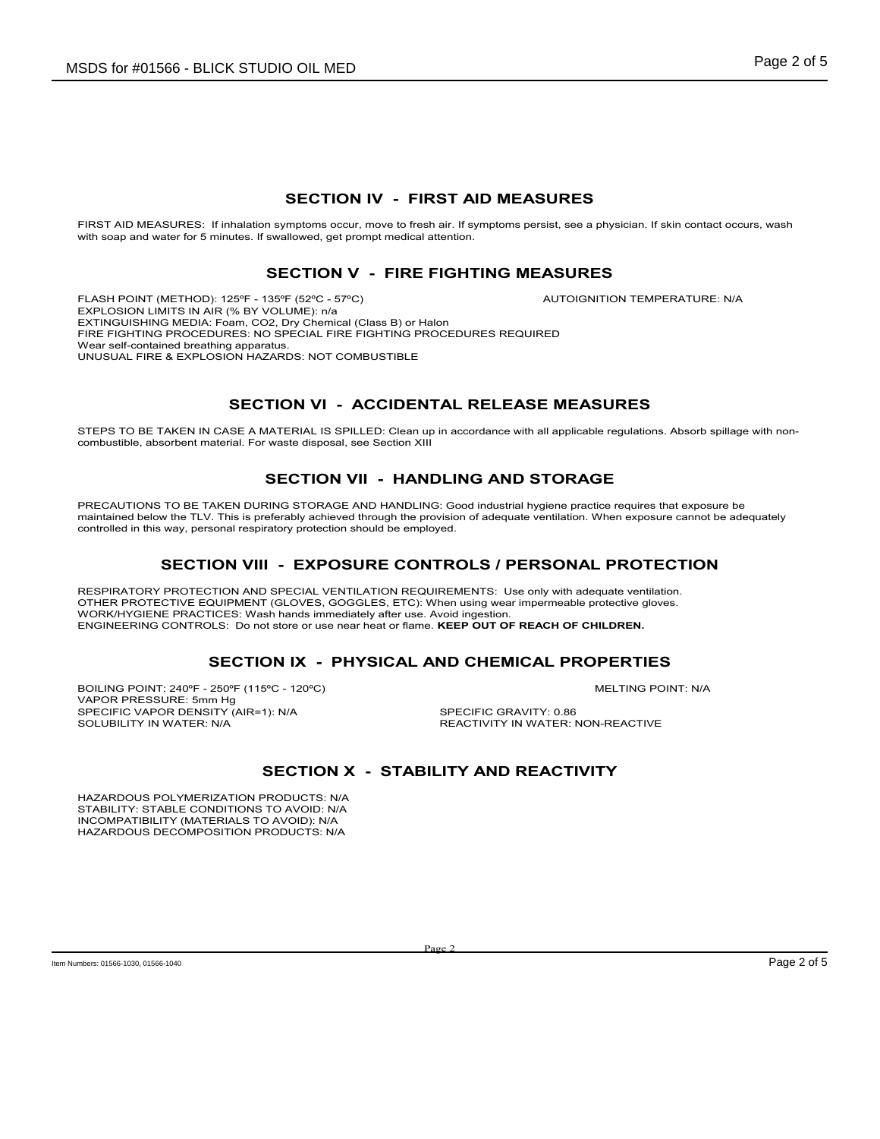#### SECTION IV - FIRST AID MEASURES

FIRST AID MEASURES: If inhalation symptoms occur, move to fresh air. If symptoms persist, see a physician. If skin contact occurs, wash with soap and water for 5 minutes. If swallowed, get prompt medical attention.

#### SECTION V - FIRE FIGHTING MEASURES

FLASH POINT (METHOD): 125ºF - 135ºF (52ºC - 57ºC) AUTOIGNITION TEMPERATURE: N/A EXPLOSION LIMITS IN AIR (% BY VOLUME): n/a EXTINGUISHING MEDIA: Foam, CO2, Dry Chemical (Class B) or Halon FIRE FIGHTING PROCEDURES: NO SPECIAL FIRE FIGHTING PROCEDURES REQUIRED Wear self-contained breathing apparatus. UNUSUAL FIRE & EXPLOSION HAZARDS: NOT COMBUSTIBLE

# SECTION VI - ACCIDENTAL RELEASE MEASURES

STEPS TO BE TAKEN IN CASE A MATERIAL IS SPILLED: Clean up in accordance with all applicable regulations. Absorb spillage with noncombustible, absorbent material. For waste disposal, see Section XIII

### SECTION VII - HANDLING AND STORAGE

PRECAUTIONS TO BE TAKEN DURING STORAGE AND HANDLING: Good industrial hygiene practice requires that exposure be maintained below the TLV. This is preferably achieved through the provision of adequate ventilation. When exposure cannot be adequately controlled in this way, personal respiratory protection should be employed.

### SECTION VIII - EXPOSURE CONTROLS / PERSONAL PROTECTION

RESPIRATORY PROTECTION AND SPECIAL VENTILATION REQUIREMENTS: Use only with adequate ventilation. OTHER PROTECTIVE EQUIPMENT (GLOVES, GOGGLES, ETC): When using wear impermeable protective gloves. WORK/HYGIENE PRACTICES: Wash hands immediately after use. Avoid ingestion. ENGINEERING CONTROLS: Do not store or use near heat or flame. KEEP OUT OF REACH OF CHILDREN.

### SECTION IX - PHYSICAL AND CHEMICAL PROPERTIES

BOILING POINT: 240ºF - 250ºF (115ºC - 120ºC) MELTING POINT: N/A VAPOR PRESSURE: 5mm Hg SPECIFIC VAPOR DENSITY (AIR=1): N/A SPECIFIC GRAVITY: 0.86<br>SOLUBILITY IN WATER: N/A SOLUBILITY IN WATER: 1

REACTIVITY IN WATER: NON-REACTIVE

# SECTION X - STABILITY AND REACTIVITY

HAZARDOUS POLYMERIZATION PRODUCTS: N/A STABILITY: STABLE CONDITIONS TO AVOID: N/A INCOMPATIBILITY (MATERIALS TO AVOID): N/A HAZARDOUS DECOMPOSITION PRODUCTS: N/A

Page 2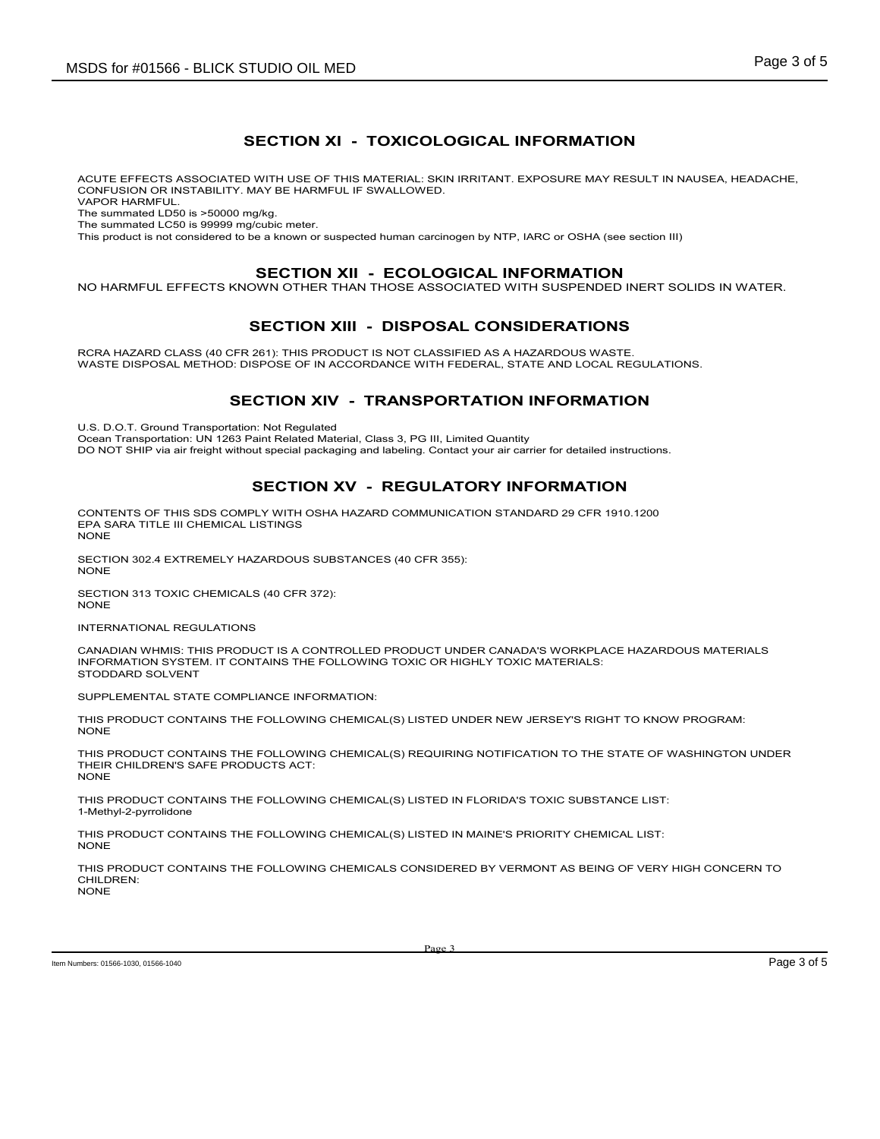# SECTION XI - TOXICOLOGICAL INFORMATION

ACUTE EFFECTS ASSOCIATED WITH USE OF THIS MATERIAL: SKIN IRRITANT. EXPOSURE MAY RESULT IN NAUSEA, HEADACHE, CONFUSION OR INSTABILITY. MAY BE HARMFUL IF SWALLOWED. VAPOR HARMFUL.

The summated LD50 is >50000 mg/kg.

The summated LC50 is 99999 mg/cubic meter.

This product is not considered to be a known or suspected human carcinogen by NTP, IARC or OSHA (see section III)

#### SECTION XII - ECOLOGICAL INFORMATION

NO HARMFUL EFFECTS KNOWN OTHER THAN THOSE ASSOCIATED WITH SUSPENDED INERT SOLIDS IN WATER.

### SECTION XIII - DISPOSAL CONSIDERATIONS

RCRA HAZARD CLASS (40 CFR 261): THIS PRODUCT IS NOT CLASSIFIED AS A HAZARDOUS WASTE. WASTE DISPOSAL METHOD: DISPOSE OF IN ACCORDANCE WITH FEDERAL, STATE AND LOCAL REGULATIONS.

### SECTION XIV - TRANSPORTATION INFORMATION

U.S. D.O.T. Ground Transportation: Not Regulated

Ocean Transportation: UN 1263 Paint Related Material, Class 3, PG III, Limited Quantity

DO NOT SHIP via air freight without special packaging and labeling. Contact your air carrier for detailed instructions.

### SECTION XV - REGULATORY INFORMATION

CONTENTS OF THIS SDS COMPLY WITH OSHA HAZARD COMMUNICATION STANDARD 29 CFR 1910.1200 EPA SARA TITLE III CHEMICAL LISTINGS NONE

SECTION 302.4 EXTREMELY HAZARDOUS SUBSTANCES (40 CFR 355): NONE

SECTION 313 TOXIC CHEMICALS (40 CFR 372): NONE

INTERNATIONAL REGULATIONS

CANADIAN WHMIS: THIS PRODUCT IS A CONTROLLED PRODUCT UNDER CANADA'S WORKPLACE HAZARDOUS MATERIALS INFORMATION SYSTEM. IT CONTAINS THE FOLLOWING TOXIC OR HIGHLY TOXIC MATERIALS: STODDARD SOLVENT

SUPPLEMENTAL STATE COMPLIANCE INFORMATION:

THIS PRODUCT CONTAINS THE FOLLOWING CHEMICAL(S) LISTED UNDER NEW JERSEY'S RIGHT TO KNOW PROGRAM: NONE

THIS PRODUCT CONTAINS THE FOLLOWING CHEMICAL(S) REQUIRING NOTIFICATION TO THE STATE OF WASHINGTON UNDER THEIR CHILDREN'S SAFE PRODUCTS ACT: NONE

THIS PRODUCT CONTAINS THE FOLLOWING CHEMICAL(S) LISTED IN FLORIDA'S TOXIC SUBSTANCE LIST: 1-Methyl-2-pyrrolidone

THIS PRODUCT CONTAINS THE FOLLOWING CHEMICAL(S) LISTED IN MAINE'S PRIORITY CHEMICAL LIST: NONE

THIS PRODUCT CONTAINS THE FOLLOWING CHEMICALS CONSIDERED BY VERMONT AS BEING OF VERY HIGH CONCERN TO CHILDREN: NONE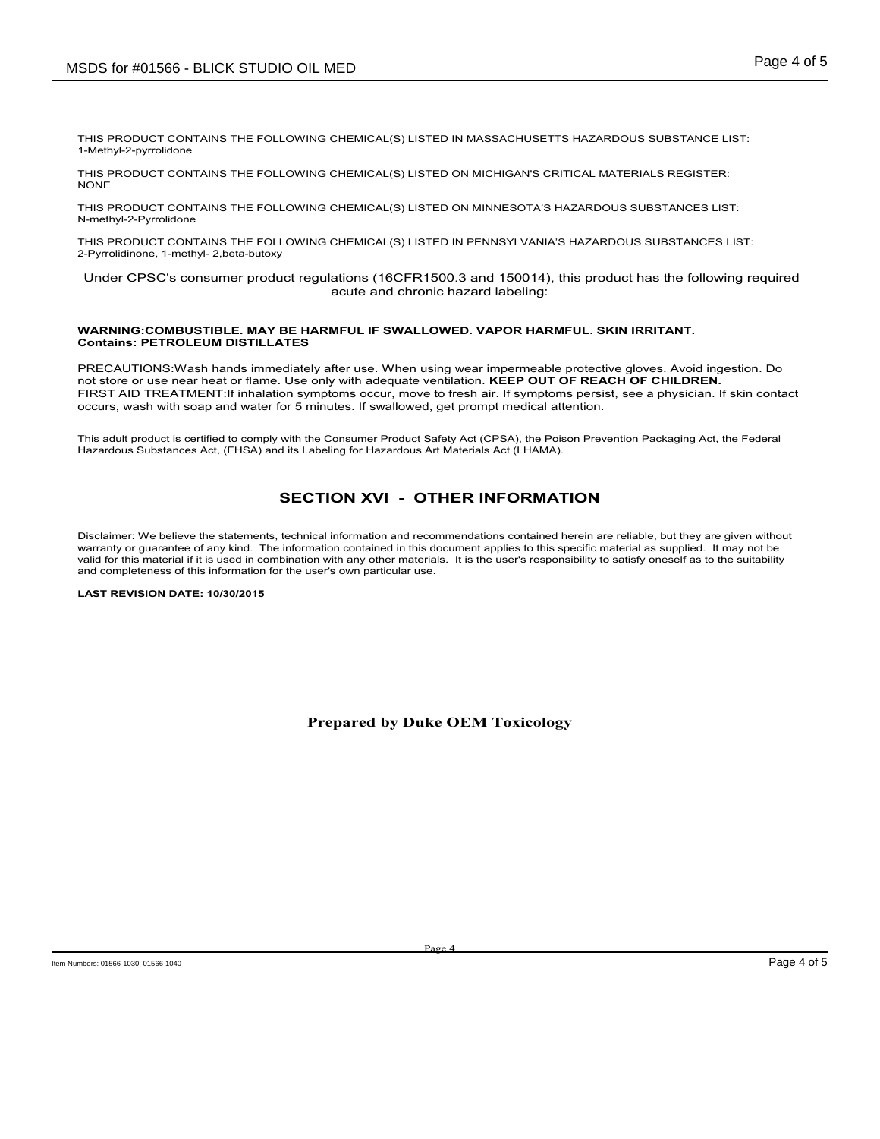THIS PRODUCT CONTAINS THE FOLLOWING CHEMICAL(S) LISTED IN MASSACHUSETTS HAZARDOUS SUBSTANCE LIST: 1-Methyl-2-pyrrolidone

THIS PRODUCT CONTAINS THE FOLLOWING CHEMICAL(S) LISTED ON MICHIGAN'S CRITICAL MATERIALS REGISTER: NONE

THIS PRODUCT CONTAINS THE FOLLOWING CHEMICAL(S) LISTED ON MINNESOTA'S HAZARDOUS SUBSTANCES LIST: N-methyl-2-Pyrrolidone

THIS PRODUCT CONTAINS THE FOLLOWING CHEMICAL(S) LISTED IN PENNSYLVANIA'S HAZARDOUS SUBSTANCES LIST: 2-Pyrrolidinone, 1-methyl- 2,beta-butoxy

 Under CPSC's consumer product regulations (16CFR1500.3 and 150014), this product has the following required acute and chronic hazard labeling:

#### WARNING:COMBUSTIBLE. MAY BE HARMFUL IF SWALLOWED. VAPOR HARMFUL. SKIN IRRITANT. Contains: PETROLEUM DISTILLATES

PRECAUTIONS:Wash hands immediately after use. When using wear impermeable protective gloves. Avoid ingestion. Do not store or use near heat or flame. Use only with adequate ventilation. KEEP OUT OF REACH OF CHILDREN. FIRST AID TREATMENT:If inhalation symptoms occur, move to fresh air. If symptoms persist, see a physician. If skin contact occurs, wash with soap and water for 5 minutes. If swallowed, get prompt medical attention.

This adult product is certified to comply with the Consumer Product Safety Act (CPSA), the Poison Prevention Packaging Act, the Federal Hazardous Substances Act, (FHSA) and its Labeling for Hazardous Art Materials Act (LHAMA).

# SECTION XVI - OTHER INFORMATION

Disclaimer: We believe the statements, technical information and recommendations contained herein are reliable, but they are given without warranty or guarantee of any kind. The information contained in this document applies to this specific material as supplied. It may not be valid for this material if it is used in combination with any other materials. It is the user's responsibility to satisfy oneself as to the suitability and completeness of this information for the user's own particular use.

#### LAST REVISION DATE: 10/30/2015

Prepared by Duke OEM Toxicology